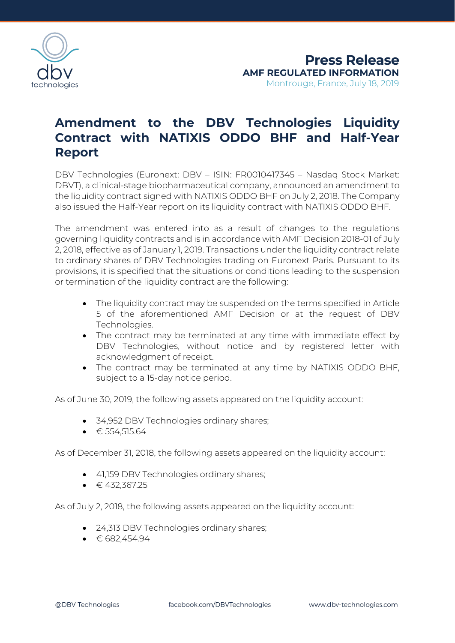

## **Amendment to the DBV Technologies Liquidity Contract with NATIXIS ODDO BHF and Half-Year Report**

DBV Technologies (Euronext: DBV – ISIN: FR0010417345 – Nasdaq Stock Market: DBVT), a clinical-stage biopharmaceutical company, announced an amendment to the liquidity contract signed with NATIXIS ODDO BHF on July 2, 2018. The Company also issued the Half-Year report on its liquidity contract with NATIXIS ODDO BHF.

The amendment was entered into as a result of changes to the regulations governing liquidity contracts and is in accordance with AMF Decision 2018-01 of July 2, 2018, effective as of January 1, 2019. Transactions under the liquidity contract relate to ordinary shares of DBV Technologies trading on Euronext Paris. Pursuant to its provisions, it is specified that the situations or conditions leading to the suspension or termination of the liquidity contract are the following:

- The liquidity contract may be suspended on the terms specified in Article 5 of the aforementioned AMF Decision or at the request of DBV Technologies.
- The contract may be terminated at any time with immediate effect by DBV Technologies, without notice and by registered letter with acknowledgment of receipt.
- The contract may be terminated at any time by NATIXIS ODDO BHF, subject to a 15-day notice period.

As of June 30, 2019, the following assets appeared on the liquidity account:

- 34,952 DBV Technologies ordinary shares;
- $\bullet$   $\in$  554,515.64

As of December 31, 2018, the following assets appeared on the liquidity account:

- 41,159 DBV Technologies ordinary shares;
- $\bullet$   $\in$  432,367.25

As of July 2, 2018, the following assets appeared on the liquidity account:

- 24,313 DBV Technologies ordinary shares;
- $\bullet$   $\in$  682.454.94